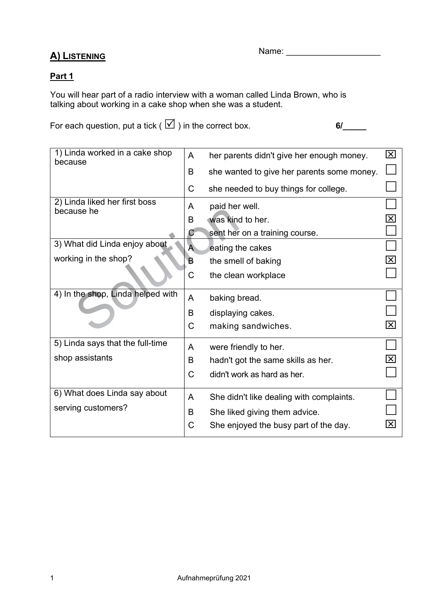# A) LISTENING

Name: \_\_\_\_\_\_\_\_\_\_\_\_\_\_\_\_\_\_\_\_

## Part 1

You will hear part of a radio interview with a woman called Linda Brown, who is talking about working in a cake shop when she was a student.

For each question, put a tick (  $\boxtimes$  ) in the correct box. 6/\_\_\_\_\_\_\_

| 1) Linda worked in a cake shop<br>because   |   | her parents didn't give her enough money.  | $\boxtimes$                 |
|---------------------------------------------|---|--------------------------------------------|-----------------------------|
|                                             | B | she wanted to give her parents some money. |                             |
|                                             |   | she needed to buy things for college.      |                             |
| 2) Linda liked her first boss<br>because he |   | paid her well.                             |                             |
|                                             | B | was kind to her.                           | $\boldsymbol{\mathsf{x}}$   |
|                                             | C | sent her on a training course.             |                             |
| 3) What did Linda enjoy about               | A | eating the cakes                           |                             |
| working in the shop?                        | В | the smell of baking                        | $\overline{\mathsf{x}}$     |
|                                             | С | the clean workplace                        |                             |
| 4) In the shop, Linda helped with           | A | baking bread.                              |                             |
|                                             |   | displaying cakes.                          |                             |
|                                             | C | making sandwiches.                         | $ \times $                  |
| 5) Linda says that the full-time            | A | were friendly to her.                      |                             |
| shop assistants                             |   | hadn't got the same skills as her.         | $ \mathsf{X} $              |
|                                             | C | didn't work as hard as her.                |                             |
| 6) What does Linda say about                | A | She didn't like dealing with complaints.   |                             |
| serving customers?                          | B | She liked giving them advice.              |                             |
|                                             | C | She enjoyed the busy part of the day.      | $ \boldsymbol{\mathsf{X}} $ |
|                                             |   |                                            |                             |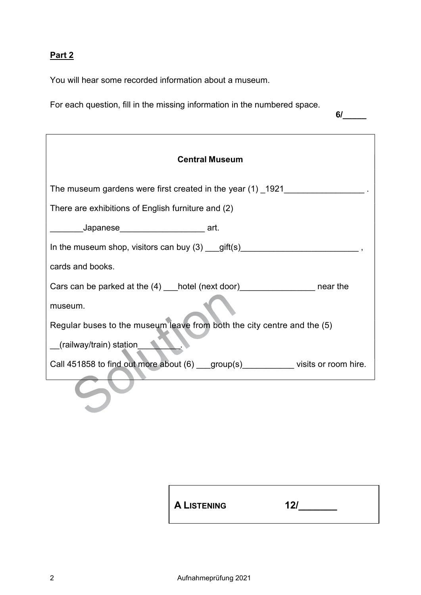## Part 2

You will hear some recorded information about a museum.

For each question, fill in the missing information in the numbered space.

6/\_\_\_\_\_

| <b>Central Museum</b>                                                              |  |  |  |  |  |
|------------------------------------------------------------------------------------|--|--|--|--|--|
| The museum gardens were first created in the year (1) _1921_____________________   |  |  |  |  |  |
| There are exhibitions of English furniture and (2)                                 |  |  |  |  |  |
| ________Japanese_____________________ art.                                         |  |  |  |  |  |
|                                                                                    |  |  |  |  |  |
| cards and books.                                                                   |  |  |  |  |  |
| Cars can be parked at the (4) ___ hotel (next door)___________________ near the    |  |  |  |  |  |
| museum.                                                                            |  |  |  |  |  |
| Regular buses to the museum leave from both the city centre and the (5)            |  |  |  |  |  |
| (railway/train) station                                                            |  |  |  |  |  |
| Call 451858 to find out more about (6) ___group(s) __________ visits or room hire. |  |  |  |  |  |
|                                                                                    |  |  |  |  |  |

A LISTENING 12/\_\_\_\_\_\_\_\_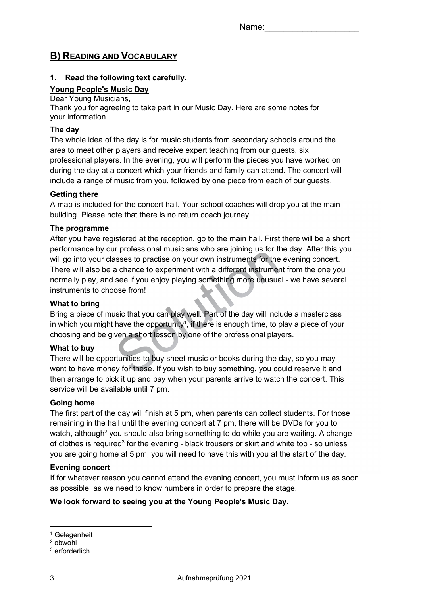## B) READING AND VOCABULARY

### 1. Read the following text carefully.

### Young People's Music Day

#### Dear Young Musicians,

Thank you for agreeing to take part in our Music Day. Here are some notes for your information.

#### The day

The whole idea of the day is for music students from secondary schools around the area to meet other players and receive expert teaching from our guests, six professional players. In the evening, you will perform the pieces you have worked on during the day at a concert which your friends and family can attend. The concert will include a range of music from you, followed by one piece from each of our guests.

### Getting there

A map is included for the concert hall. Your school coaches will drop you at the main building. Please note that there is no return coach journey.

### The programme

After you have registered at the reception, go to the main hall. First there will be a short performance by our professional musicians who are joining us for the day. After this you will go into your classes to practise on your own instruments for the evening concert. There will also be a chance to experiment with a different instrument from the one you normally play, and see if you enjoy playing something more unusual - we have several instruments to choose from!

#### What to bring

Bring a piece of music that you can play well. Part of the day will include a masterclass in which you might have the opportunity<sup>1</sup>, if there is enough time, to play a piece of your choosing and be given a short lesson by one of the professional players.

## What to buy

There will be opportunities to buy sheet music or books during the day, so you may want to have money for these. If you wish to buy something, you could reserve it and then arrange to pick it up and pay when your parents arrive to watch the concert. This service will be available until 7 pm.

#### Going home

The first part of the day will finish at 5 pm, when parents can collect students. For those remaining in the hall until the evening concert at 7 pm, there will be DVDs for you to watch, although<sup>2</sup> you should also bring something to do while you are waiting. A change of clothes is required<sup>3</sup> for the evening - black trousers or skirt and white top - so unless you are going home at 5 pm, you will need to have this with you at the start of the day.

#### Evening concert

If for whatever reason you cannot attend the evening concert, you must inform us as soon as possible, as we need to know numbers in order to prepare the stage.

## We look forward to seeing you at the Young People's Music Day.

<sup>1</sup> Gelegenheit

<sup>2</sup> obwohl

<sup>3</sup> erforderlich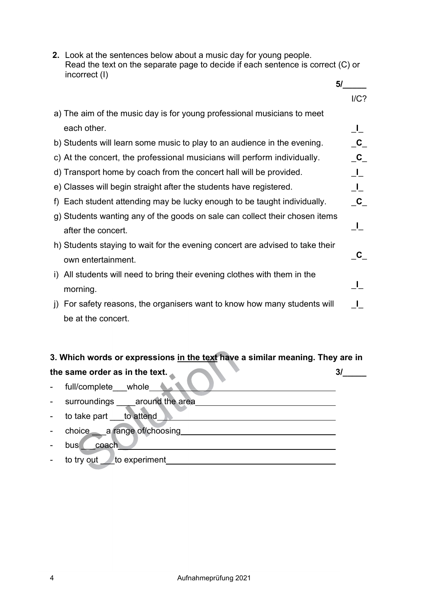|  | 2. Look at the sentences below about a music day for young people.<br>Read the text on the separate page to decide if each sentence is correct (C) or<br>incorrect (I) |                         |  |  |  |
|--|------------------------------------------------------------------------------------------------------------------------------------------------------------------------|-------------------------|--|--|--|
|  |                                                                                                                                                                        | 5/                      |  |  |  |
|  |                                                                                                                                                                        | $I/C$ ?                 |  |  |  |
|  | a) The aim of the music day is for young professional musicians to meet                                                                                                |                         |  |  |  |
|  | each other.                                                                                                                                                            | <u>_I_</u>              |  |  |  |
|  | b) Students will learn some music to play to an audience in the evening.                                                                                               | $\mathbf C$             |  |  |  |
|  | c) At the concert, the professional musicians will perform individually.                                                                                               | $\overline{\mathbf{C}}$ |  |  |  |
|  | d) Transport home by coach from the concert hall will be provided.                                                                                                     | $\perp$                 |  |  |  |
|  | e) Classes will begin straight after the students have registered.                                                                                                     | $\perp$                 |  |  |  |
|  | f) Each student attending may be lucky enough to be taught individually.                                                                                               | $\mathbf{C}_{\_}$       |  |  |  |
|  | g) Students wanting any of the goods on sale can collect their chosen items                                                                                            |                         |  |  |  |
|  | after the concert.                                                                                                                                                     | $\_$                    |  |  |  |
|  | h) Students staying to wait for the evening concert are advised to take their                                                                                          |                         |  |  |  |
|  | own entertainment.                                                                                                                                                     | $\mathbf{C}$            |  |  |  |
|  | i) All students will need to bring their evening clothes with them in the                                                                                              |                         |  |  |  |
|  | morning.                                                                                                                                                               | ⊥∟                      |  |  |  |
|  | j) For safety reasons, the organisers want to know how many students will                                                                                              | $\mathbf{L}$            |  |  |  |
|  | be at the concert.                                                                                                                                                     |                         |  |  |  |
|  |                                                                                                                                                                        |                         |  |  |  |
|  |                                                                                                                                                                        |                         |  |  |  |

# 3. Which words or expressions in the text have a similar meaning. They are in the same order as in the text. A set of the same order as in the text.

- full/complete\_\_\_whole\_\_**\_\_\_** - surroundings \_\_\_\_around the area - to take part \_\_\_to attend - choice \_\_\_a range of/choosing - bus coach and coach and contact the set of the set of the set of the set of the set of the set of the set of the set of the set of the set of the set of the set of the set of the set of the set of the set of the set of t - to try out to experiment the set of the set of the set of the set of the set of the set of the set of the set of the set of the set of the set of the set of the set of the set of the set of the set of the set of the set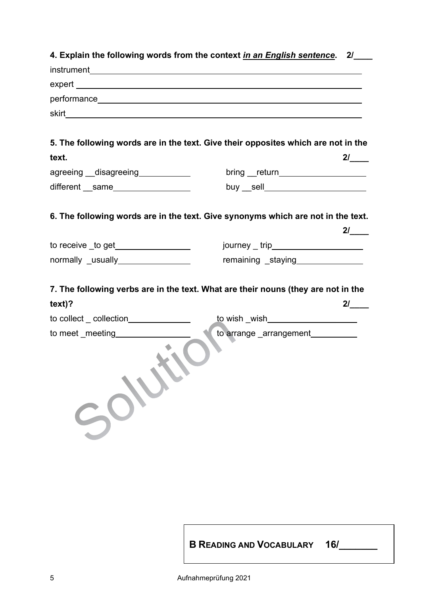|                                      | 4. Explain the following words from the context <u>in an English sentence</u> . 2/____ |     |
|--------------------------------------|----------------------------------------------------------------------------------------|-----|
|                                      |                                                                                        |     |
|                                      |                                                                                        |     |
|                                      |                                                                                        |     |
|                                      |                                                                                        |     |
|                                      |                                                                                        |     |
|                                      | 5. The following words are in the text. Give their opposites which are not in the      |     |
| text.                                |                                                                                        | 2/  |
| agreeing __disagreeing____________   |                                                                                        |     |
| different __same_________________    | buy __sell________________________                                                     |     |
|                                      |                                                                                        |     |
|                                      | 6. The following words are in the text. Give synonyms which are not in the text.       |     |
|                                      |                                                                                        | 21  |
| to receive _to get_________________  | journey _ trip______________________                                                   |     |
| normally _usually_________________   | remaining _staying _______________                                                     |     |
|                                      |                                                                                        |     |
|                                      | 7. The following verbs are in the text. What are their nouns (they are not in the      |     |
| text)?                               |                                                                                        | 21  |
| to collect _ collection_____________ | <u>to wish</u> _wish______________________                                             |     |
| to meet _meeting___________          | to arrange _arrangement__________                                                      |     |
|                                      |                                                                                        |     |
|                                      | <b>B READING AND VOCABULARY</b>                                                        | 16/ |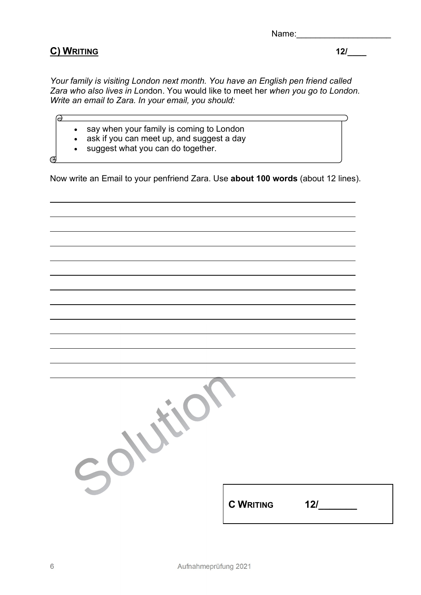| Name: |
|-------|
|-------|

## C) WRITING 12/\_\_\_\_

 $\Theta$ 

L

 $\sigma$ 

L

Your family is visiting London next month. You have an English pen friend called Zara who also lives in London. You would like to meet her when you go to London. Write an email to Zara. In your email, you should:

- say when your family is coming to London
- ask if you can meet up, and suggest a day
- suggest what you can do together.

Now write an Email to your penfriend Zara. Use about 100 words (about 12 lines).

| <b>C WRITING</b> | 12/ |
|------------------|-----|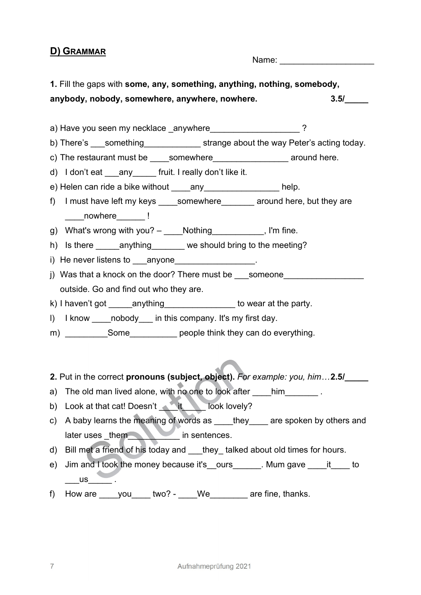## D) GRAMMAR

Name:  $\blacksquare$ 

1. Fill the gaps with some, any, something, anything, nothing, somebody, anybody, nobody, somewhere, anywhere, nowhere.  $3.5/$ 

a) Have you seen my necklace anywhere  $\sim$  . The set of  $\sim$  ?

b) There's something strange about the way Peter's acting today.

c) The restaurant must be \_\_\_\_somewhere\_\_\_\_\_\_\_\_\_\_\_\_\_\_\_\_ around here.

d) I don't eat \_\_\_any fruit. I really don't like it.

e) Helen can ride a bike without any example help.

- f) I must have left my keys somewhere around here, but they are nowhere l
- g) What's wrong with you? \_\_\_\_Nothing\_\_\_\_\_\_\_\_\_\_, I'm fine.
- h) Is there anything we should bring to the meeting?
- i) He never listens to anyone **contained** and  $\blacksquare$
- j) Was that a knock on the door? There must be \_\_\_\_ someone outside. Go and find out who they are.
- k) I haven't got anything to wear at the party.
- I) I know cobody in this company. It's my first day.
- m) Some Some people think they can do everything.
- 2. Put in the correct pronouns (subject, object). For example: you, him...2.5/
- a) The old man lived alone, with no one to look after him
- b) Look at that cat! Doesn't look lovely?
- c) A baby learns the meaning of words as \_\_\_\_they \_\_\_\_\_ are spoken by others and later uses \_them in sentences.
- d) Bill met a friend of his today and they talked about old times for hours.
- e) Jim and I took the money because it's ours . Mum gave it to  $\overline{\phantom{a}}$  us  $\overline{\phantom{a}}$  .
- f) How are  $\underline{\hspace{1cm}}$  you  $\underline{\hspace{1cm}}$  two? We  $\underline{\hspace{1cm}}$  are fine, thanks.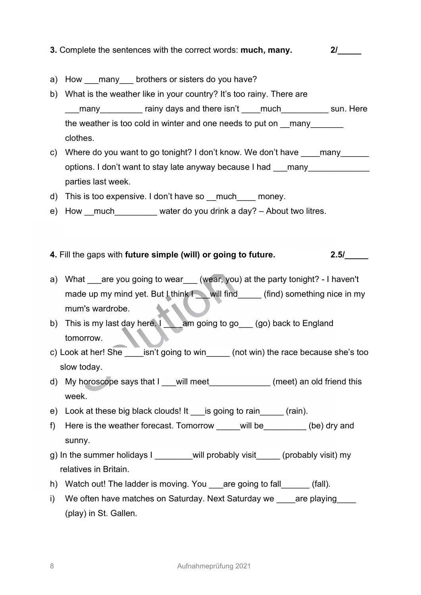3. Complete the sentences with the correct words: much, many. 2/

- a) How many brothers or sisters do you have?
- b) What is the weather like in your country? It's too rainy. There are many and there isn't a much sun. Here many the weather is too cold in winter and one needs to put on \_\_many clothes.
- c) Where do you want to go tonight? I don't know. We don't have \_\_\_\_many options. I don't want to stay late anyway because I had \_\_\_many parties last week.
- d) This is too expensive. I don't have so \_\_much \_\_\_\_ money.
- e) How much water do you drink a day? About two litres.
- 4. Fill the gaps with future simple (will) or going to future. 2.5/
- a) What \_\_\_are you going to wear\_\_\_ (wear, you) at the party tonight? I haven't made up my mind yet. But Lthink  $\blacksquare$  will find  $\blacksquare$  (find) something nice in my mum's wardrobe.
- b) This is my last day here. I am going to go (go) back to England tomorrow.
- c) Look at her!  $\widehat{\text{She}}$  \_\_\_isn't going to win\_\_\_\_\_ (not win) the race because she's too slow today.
- d) My horoscope says that I will meet (meet) an old friend this week.
- e) Look at these big black clouds! It is going to rain (rain).
- f) Here is the weather forecast. Tomorrow will be  $($ be) dry and sunny.
- g) In the summer holidays I will probably visit (probably visit) my relatives in Britain.
- h) Watch out! The ladder is moving. You are going to fall (fall).
- i) We often have matches on Saturday. Next Saturday we are playing (play) in St. Gallen.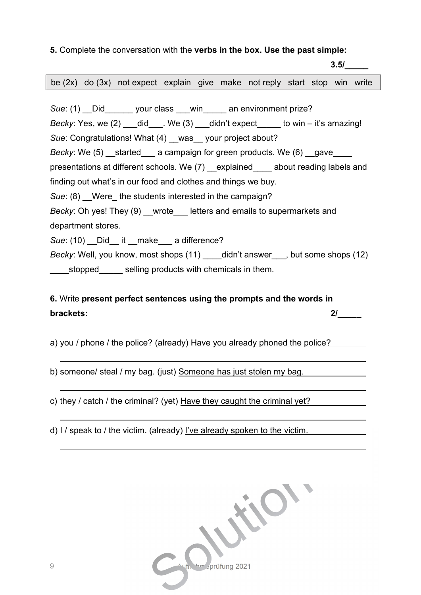## 5. Complete the conversation with the verbs in the box. Use the past simple:

 3.5/\_\_\_\_\_ Sue: (1) Did your class win an environment prize? Becky: Yes, we  $(2)$  did  $\blacksquare$ . We  $(3)$  didn't expect to win – it's amazing! Sue: Congratulations! What (4) was your project about? Becky: We  $(5)$  started a campaign for green products. We  $(6)$  gave presentations at different schools. We (7) \_\_explained\_\_\_\_ about reading labels and finding out what's in our food and clothes and things we buy. Sue: (8) Were the students interested in the campaign? Becky: Oh yes! They (9) wrote letters and emails to supermarkets and department stores. Sue: (10) Did it make a difference? Becky: Well, you know, most shops (11) didn't answer, but some shops (12) stopped selling products with chemicals in them. be (2x) do (3x) not expect explain give make not reply start stop win write

# 6. Write present perfect sentences using the prompts and the words in brackets: 2/\_\_\_\_\_

a) you / phone / the police? (already) Have you already phoned the police?

b) someone/ steal / my bag. (just) Someone has just stolen my bag.

c) they / catch / the criminal? (yet) Have they caught the criminal yet?

d) I / speak to / the victim. (already) I've already spoken to the victim.



ı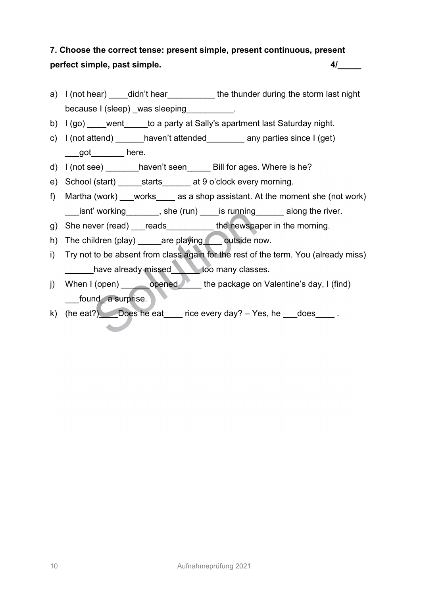# 7. Choose the correct tense: present simple, present continuous, present perfect simple, past simple.  $4/$

- a) I (not hear) didn't hear the thunder during the storm last night because I (sleep) was sleeping example.
- b) I (go) went to a party at Sally's apartment last Saturday night.
- c) I (not attend) \_\_\_\_\_\_haven't attended\_\_\_\_\_\_\_\_ any parties since I (get) got  $\_\_\_\_\$ here.
- d) I (not see) \_\_\_\_\_\_\_haven't seen \_\_\_\_\_ Bill for ages. Where is he?
- e) School (start) starts at 9 o'clock every morning.
- f) Martha (work) \_\_\_works\_\_\_\_ as a shop assistant. At the moment she (not work) \_\_\_isnt' working\_\_\_\_\_\_\_, she (run) \_\_\_\_is running\_\_\_\_\_\_ along the river.
- g) She never (read) \_\_\_reads\_\_\_\_\_\_\_\_\_\_ the newspaper in the morning.
- h) The children (play) \_\_\_\_\_are playing coutside now.
- i) Try not to be absent from class again for the rest of the term. You (already miss) have already missed too many classes.
- j) When I (open) opened the package on Valentine's day, I (find) found a surprise.
- k) (he eat?) Does he eat rice every day? Yes, he does.